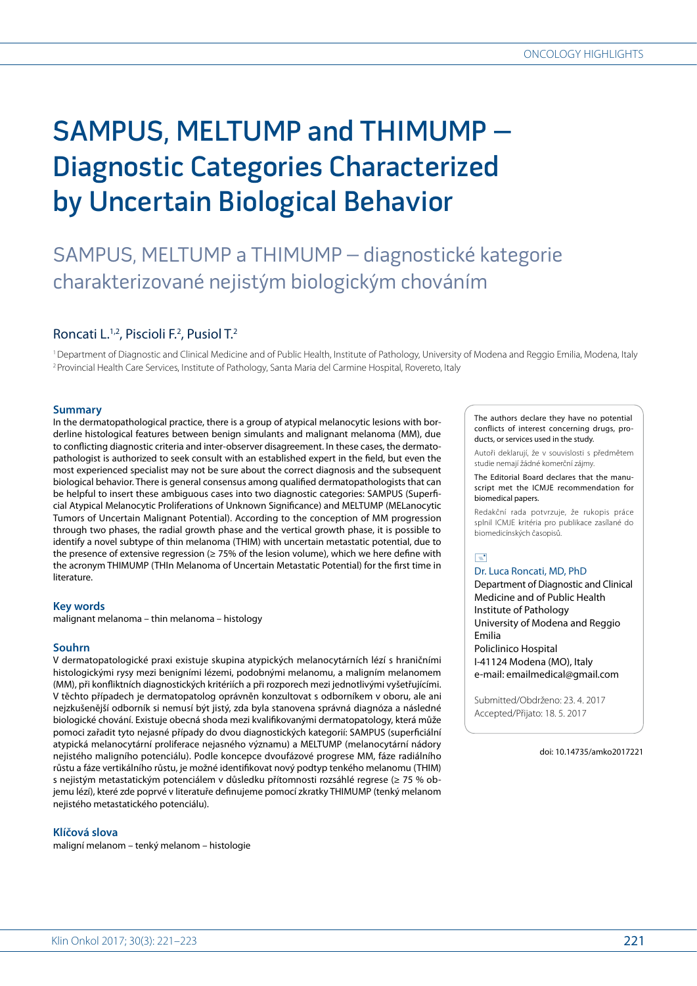# SAMPUS, MELTUMP and THIMUMP – Diagnostic Categories Characterized by Uncertain Biological Behavior

## SAMPUS, MELTUMP a THIMUMP – diagnostické kategorie charakterizované nejistým biologickým chováním

### Roncati L.<sup>1,2</sup>, Piscioli F.<sup>2</sup>, Pusiol T.<sup>2</sup>

1 Department of Diagnostic and Clinical Medicine and of Public Health, Institute of Pathology, University of Modena and Reggio Emilia, Modena, Italy 2 Provincial Health Care Services, Institute of Pathology, Santa Maria del Carmine Hospital, Rovereto, Italy

#### **Summary**

In the dermatopathological practice, there is a group of atypical melanocytic lesions with borderline histological features between benign simulants and malignant melanoma (MM), due to conflicting diagnostic criteria and inter-observer disagreement. In these cases, the dermatopathologist is authorized to seek consult with an established expert in the field, but even the most experienced specialist may not be sure about the correct diagnosis and the subsequent biological behavior. There is general consensus among qualified dermatopathologists that can be helpful to insert these ambiguous cases into two diagnostic categories: SAMPUS (Superficial Atypical Melanocytic Proliferations of Unknown Significance) and MELTUMP (MELanocytic Tumors of Uncertain Malignant Potential). According to the conception of MM progression through two phases, the radial growth phase and the vertical growth phase, it is possible to identify a novel subtype of thin melanoma (THIM) with uncertain metastatic potential, due to the presence of extensive regression (≥ 75% of the lesion volume), which we here define with the acronym THIMUMP (THIn Melanoma of Uncertain Metastatic Potential) for the first time in literature.

#### **Key words**

malignant melanoma – thin melanoma – histology

#### **Souhrn**

V dermatopatologické praxi existuje skupina atypických melanocytárních lézí s hraničními histologickými rysy mezi benigními lézemi, podobnými melanomu, a maligním melanomem (MM), při konfliktních diagnostických kritériích a při rozporech mezi jednotlivými vyšetřujícími. V těchto případech je dermatopatolog oprávněn konzultovat s odborníkem v oboru, ale ani nejzkušenější odborník si nemusí být jistý, zda byla stanovena správná diagnóza a následné biologické chování. Existuje obecná shoda mezi kvalifikovanými dermatopatology, která může pomoci zařadit tyto nejasné případy do dvou diagnostických kategorií: SAMPUS (superficiální atypická melanocytární proliferace nejasného významu) a MELTUMP (melanocytární nádory nejistého maligního potenciálu). Podle koncepce dvoufázové progrese MM, fáze radiálního růstu a fáze vertikálního růstu, je možné identifikovat nový podtyp tenkého melanomu (THIM) s nejistým metastatickým potenciálem v důsledku přítomnosti rozsáhlé regrese (≥ 75 % objemu lézí), které zde poprvé v literatuře definujeme pomocí zkratky THIMUMP (tenký melanom nejistého metastatického potenciálu).

#### **Klíčová slova**

maligní melanom – tenký melanom – histologie

The authors declare they have no potential conflicts of interest concerning drugs, products, or services used in the study.

Autoři deklarují, že v souvislosti s předmětem studie nemají žádné komerční zájmy.

The Editorial Board declares that the manuscript met the ICMJE recommendation for biomedical papers.

Redakční rada potvrzuje, že rukopis práce splnil ICMJE kritéria pro publikace zasílané do biomedicínských časopisů.

### $\Box$

Dr. Luca Roncati, MD, PhD Department of Diagnostic and Clinical Medicine and of Public Health Institute of Pathology University of Modena and Reggio Emilia

Policlinico Hospital I-41124 Modena (MO), Italy e-mail: emailmedical@gmail.com

Submitted/Obdrženo: 23. 4. 2017 Accepted/Přijato: 18. 5. 2017

doi: 10.14735/amko2017221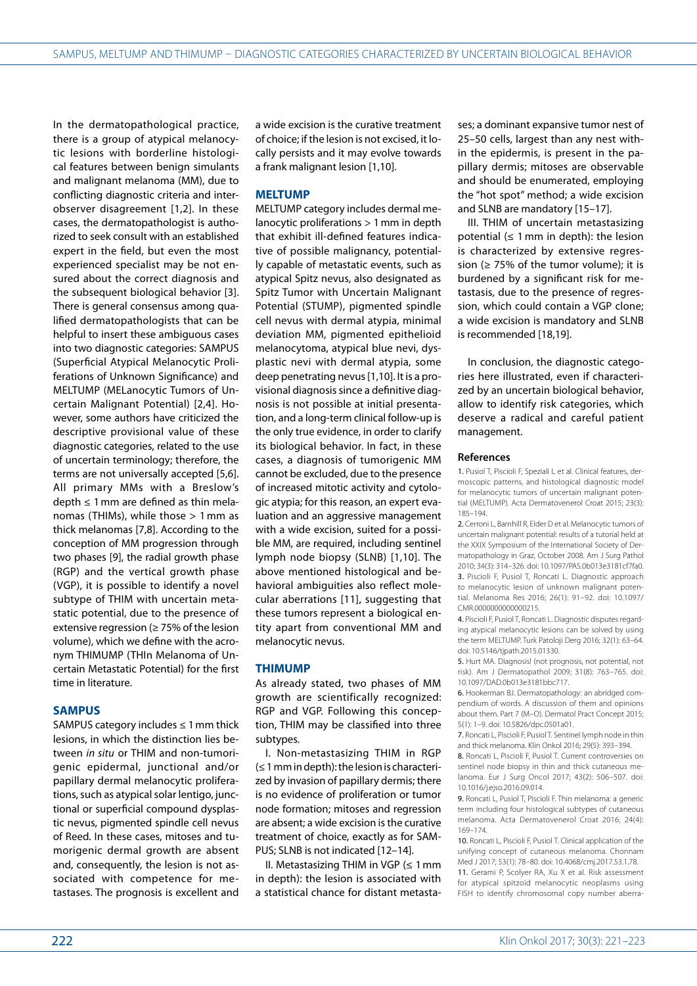In the dermatopathological practice, there is a group of atypical melanocytic lesions with borderline histological features between benign simulants and malignant melanoma (MM), due to conflicting diagnostic criteria and interobserver disagreement [1,2]. In these cases, the dermatopathologist is authorized to seek consult with an established expert in the field, but even the most experienced specialist may be not ensured about the correct diagnosis and the subsequent biological behavior [3]. There is general consensus among qualified dermatopathologists that can be helpful to insert these ambiguous cases into two diagnostic categories: SAMPUS (Superficial Atypical Melanocytic Proliferations of Unknown Significance) and MELTUMP (MELanocytic Tumors of Uncertain Malignant Potential) [2,4]. However, some authors have criticized the descriptive provisional value of these diagnostic categories, related to the use of uncertain terminology; therefore, the terms are not universally accepted [5,6]. All primary MMs with a Breslow's depth  $\leq 1$  mm are defined as thin melanomas (THIMs), while those > 1 mm as thick melanomas [7,8]. According to the conception of MM progression through two phases [9], the radial growth phase (RGP) and the vertical growth phase (VGP), it is possible to identify a novel subtype of THIM with uncertain metastatic potential, due to the presence of extensive regression (≥ 75% of the lesion volume), which we define with the acronym THIMUMP (THIn Melanoma of Uncertain Metastatic Potential) for the first time in literature.

#### **SAMPUS**

SAMPUS category includes  $\leq 1$  mm thick lesions, in which the distinction lies between *in situ* or THIM and non-tumorigenic epidermal, junctional and/or papillary dermal melanocytic proliferations, such as atypical solar lentigo, junctional or superficial compound dysplastic nevus, pigmented spindle cell nevus of Reed. In these cases, mitoses and tumorigenic dermal growth are absent and, consequently, the lesion is not associated with competence for metastases. The prognosis is excellent and

a wide excision is the curative treatment of choice; if the lesion is not excised, it locally persists and it may evolve towards a frank malignant lesion [1,10].

#### **MELTUMP**

MELTUMP category includes dermal melanocytic proliferations > 1mm in depth that exhibit ill-defined features indicative of possible malignancy, potentially capable of metastatic events, such as atypical Spitz nevus, also designated as Spitz Tumor with Uncertain Malignant Potential (STUMP), pigmented spindle cell nevus with dermal atypia, minimal deviation MM, pigmented epithelioid melanocytoma, atypical blue nevi, dysplastic nevi with dermal atypia, some deep penetrating nevus [1,10]. It is a provisional diagnosis since a definitive diagnosis is not possible at initial presentation, and a long-term clinical follow-up is the only true evidence, in order to clarify its biological behavior. In fact, in these cases, a diagnosis of tumorigenic MM cannot be excluded, due to the presence of increased mitotic activity and cytologic atypia; for this reason, an expert evaluation and an aggressive management with a wide excision, suited for a possible MM, are required, including sentinel lymph node biopsy (SLNB) [1,10]. The above mentioned histological and behavioral ambiguities also reflect molecular aberrations [11], suggesting that these tumors represent a biological entity apart from conventional MM and melanocytic nevus.

#### **THIMUMP**

As already stated, two phases of MM growth are scientifically recognized: RGP and VGP. Following this conception, THIM may be classified into three subtypes.

I. Non-metastasizing THIM in RGP (≤ 1mm in depth): the lesion is characterized by invasion of papillary dermis; there is no evidence of proliferation or tumor node formation; mitoses and regression are absent; a wide excision is the curative treatment of choice, exactly as for SAM-PUS; SLNB is not indicated [12–14].

II. Metastasizing THIM in VGP (≤ 1mm in depth): the lesion is associated with a statistical chance for distant metastases; a dominant expansive tumor nest of 25–50 cells, largest than any nest within the epidermis, is present in the papillary dermis; mitoses are observable and should be enumerated, employing the "hot spot" method; a wide excision and SLNB are mandatory [15–17].

III. THIM of uncertain metastasizing potential  $(≤ 1 mm in depth):$  the lesion is characterized by extensive regression ( $\geq$  75% of the tumor volume); it is burdened by a significant risk for metastasis, due to the presence of regression, which could contain a VGP clone; a wide excision is mandatory and SLNB is recommended [18,19].

In conclusion, the diagnostic categories here illustrated, even if characterized by an uncertain biological behavior, allow to identify risk categories, which deserve a radical and careful patient management.

#### **References**

1. Pusiol T, Piscioli F, Speziali L et al. Clinical features, dermoscopic patterns, and histological diagnostic model for melanocytic tumors of uncertain malignant potential (MELTUMP). Acta Dermatovenerol Croat 2015; 23(3): 185–194.

2. Cerroni L, Barnhill R, Elder D et al. Melanocytic tumors of uncertain malignant potential: results of a tutorial held at the XXIX Symposium of the International Society of Dermatopathology in Graz, October 2008. Am J Surg Pathol 2010; 34(3): 314–326. doi: 10.1097/PAS.0b013e3181cf7fa0. 3. Piscioli F, Pusiol T, Roncati L. Diagnostic approach to melanocytic lesion of unknown malignant potential. Melanoma Res 2016; 26(1): 91–92. doi: 10.1097/ CMR.0000000000000215.

4. Piscioli E, Pusiol T, Roncati L. Diagnostic disputes regarding atypical melanocytic lesions can be solved by using the term MELTUMP. Turk Patoloji Derg 2016; 32(1): 63–64. doi: 10.5146/tjpath.2015.01330.

5. Hurt MA. Diagnosis! (not prognosis, not potential, not risk). Am J Dermatopathol 2009; 31(8): 763–765. doi: 10.1097/DAD.0b013e3181bbc717.

6. Hookerman BJ. Dermatopathology: an abridged compendium of words. A discussion of them and opinions about them. Part 7 (M–O). Dermatol Pract Concept 2015; 5(1): 1–9. doi: 10.5826/dpc.0501a01.

7. Roncati L, Piscioli F, Pusiol T. Sentinel lymph node in thin and thick melanoma. Klin Onkol 2016; 29(5): 393–394.

8. Roncati L, Piscioli F, Pusiol T. Current controversies on sentinel node biopsy in thin and thick cutaneous melanoma. Eur J Surg Oncol 2017; 43(2): 506–507. doi: 10.1016/j.ejso.2016.09.014.

9. Roncati L, Pusiol T, Piscioli F. Thin melanoma: a generic term including four histological subtypes of cutaneous melanoma. Acta Dermatovenerol Croat 2016; 24(4): 169–174.

10. Roncati L, Piscioli F, Pusiol T. Clinical application of the unifying concept of cutaneous melanoma. Chonnam Med J 2017; 53(1): 78–80. doi: 10.4068/cmj.2017.53.1.78.

11. Gerami P, Scolyer RA, Xu X et al. Risk assessment for atypical spitzoid melanocytic neoplasms using FISH to identify chromosomal copy number aberra